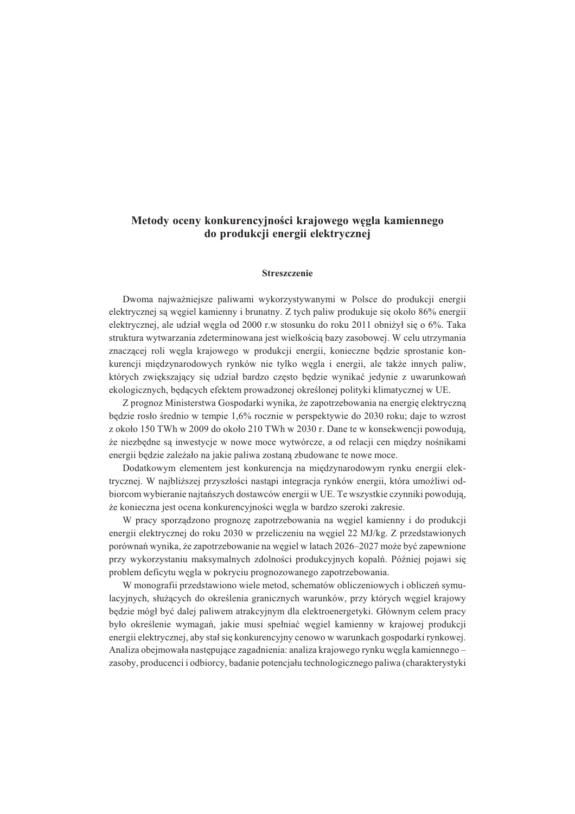## **Metody oceny konkurencyjnoœci krajowego wêgla kamiennego do produkcji energii elektrycznej**

## **Streszczenie**

Dwoma najwa¿niejsze paliwami wykorzystywanymi w Polsce do produkcji energii elektrycznej są węgiel kamienny i brunatny. Z tych paliw produkuje się około 86% energii elektrycznej, ale udział wegla od 2000 r.w stosunku do roku 2011 obniżył się o 6%. Taka struktura wytwarzania zdeterminowana jest wielkościa bazy zasobowej. W celu utrzymania znaczącej roli węgla krajowego w produkcji energii, konieczne będzie sprostanie konkurencji międzynarodowych rynków nie tylko węgla i energii, ale także innych paliw, których zwiekszający się udział bardzo często bedzie wynikać jedynie z uwarunkowań ekologicznych, będących efektem prowadzonej określonej polityki klimatycznej w UE.

Z prognoz Ministerstwa Gospodarki wynika, że zapotrzebowania na energię elektryczną będzie rosło średnio w tempie 1,6% rocznie w perspektywie do 2030 roku; daje to wzrost z około 150 TWh w 2009 do około 210 TWh w 2030 r. Dane te w konsekwencji powoduja, ¿e niezbêdne s¹ inwestycje w nowe moce wytwórcze, a od relacji cen miêdzy noœnikami energii będzie zależało na jakie paliwa zostana zbudowane te nowe moce.

Dodatkowym elementem jest konkurencja na miêdzynarodowym rynku energii elektrycznej. W najbliższej przyszłości nastąpi integracja rynków energii, która umożliwi odbiorcom wybieranie najtańszych dostawców energii w UE. Te wszystkie czynniki powodują, że konieczna jest ocena konkurencyjności węgla w bardzo szeroki zakresie.

W pracy sporządzono prognozę zapotrzebowania na węgiel kamienny i do produkcji energii elektrycznej do roku 2030 w przeliczeniu na wêgiel 22 MJ/kg. Z przedstawionych porównań wynika, że zapotrzebowanie na węgiel w latach 2026–2027 może być zapewnione przy wykorzystaniu maksymalnych zdolności produkcyjnych kopalń. Później pojawi się problem deficytu wêgla w pokryciu prognozowanego zapotrzebowania.

W monografii przedstawiono wiele metod, schematów obliczeniowych i obliczeñ symulacyjnych, służących do określenia granicznych warunków, przy których węgiel krajowy będzie mógł być dalej paliwem atrakcyjnym dla elektroenergetyki. Głównym celem pracy było określenie wymagań, jakie musi spełniać wegiel kamienny w krajowej produkcji energii elektrycznej, aby stał się konkurencyjny cenowo w warunkach gospodarki rynkowej. Analiza obejmowała następujące zagadnienia: analiza krajowego rynku węgla kamiennego – zasoby, producenci i odbiorcy, badanie potencjału technologicznego paliwa (charakterystyki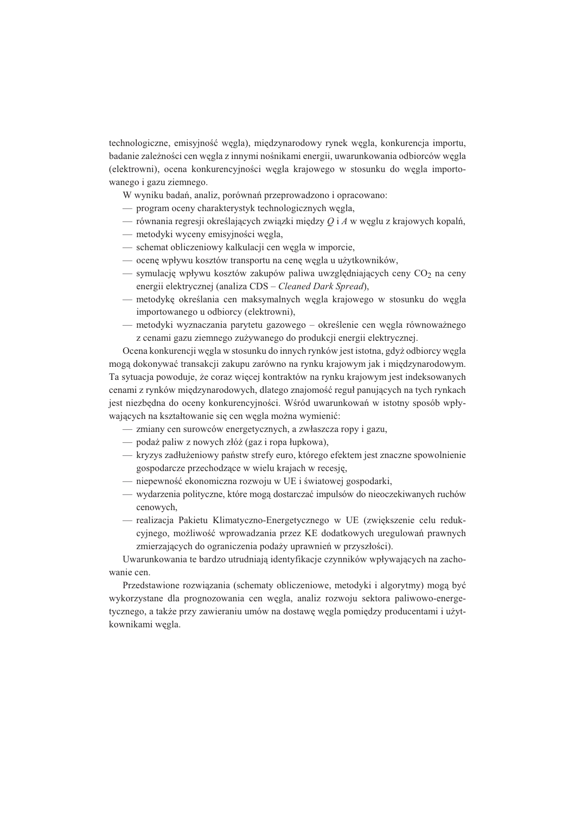technologiczne, emisyjność węgla), międzynarodowy rynek węgla, konkurencja importu, badanie zależności cen węgla z innymi nośnikami energii, uwarunkowania odbiorców węgla (elektrowni), ocena konkurencyjności węgla krajowego w stosunku do węgla importowanego i gazu ziemnego.

- W wyniku badañ, analiz, porównañ przeprowadzono i opracowano:
- program oceny charakterystyk technologicznych wêgla,
- równania regresji określających związki między Q i A w węglu z krajowych kopalń,
- metodyki wyceny emisyjności wegla,
- schemat obliczeniowy kalkulacji cen wêgla w imporcie,
- $\sim$  ocene wpływu kosztów transportu na cene wegla u użytkowników,
- symulacje wpływu kosztów zakupów paliwa uwzgledniających ceny  $CO<sub>2</sub>$  na ceny energii elektrycznej (analiza CDS – *Cleaned Dark Spread*),
- metodykę określania cen maksymalnych węgla krajowego w stosunku do węgla importowanego u odbiorcy (elektrowni),
- metodyki wyznaczania parytetu gazowego określenie cen wegla równoważnego z cenami gazu ziemnego zu¿ywanego do produkcji energii elektrycznej.

Ocena konkurencji węgla w stosunku do innych rynków jest istotna, gdyż odbiorcy węgla mogą dokonywać transakcji zakupu zarówno na rynku krajowym jak i międzynarodowym. Ta sytuacja powoduje, ¿e coraz wiêcej kontraktów na rynku krajowym jest indeksowanych cenami z rynków międzynarodowych, dlatego znajomość reguł panujących na tych rynkach jest niezbędna do oceny konkurencyjności. Wśród uwarunkowań w istotny sposób wpływających na kształtowanie się cen węgla można wymienić:

- zmiany cen surowców energetycznych, a zwłaszcza ropy i gazu,
- podaż paliw z nowych złóż (gaz i ropa łupkowa).
- $-$  kryzys zadłużeniowy państw strefy euro, którego efektem jest znaczne spowolnienie gospodarcze przechodzące w wielu krajach w recesję,
- niepewność ekonomiczna rozwoju w UE i światowej gospodarki,
- wydarzenia polityczne, które mog¹ dostarczaæ impulsów do nieoczekiwanych ruchów cenowych,
- realizacja Pakietu Klimatyczno-Energetycznego w UE (zwiêkszenie celu redukcyjnego, możliwość wprowadzania przez KE dodatkowych uregulowań prawnych zmierzających do ograniczenia podaży uprawnień w przyszłości).

Uwarunkowania te bardzo utrudniaja identyfikacje czynników wpływających na zachowanie cen.

Przedstawione rozwiązania (schematy obliczeniowe, metodyki i algorytmy) mogą być wykorzystane dla prognozowania cen wêgla, analiz rozwoju sektora paliwowo-energetycznego, a także przy zawieraniu umów na dostawę węgla pomiędzy producentami i użytkownikami wêgla.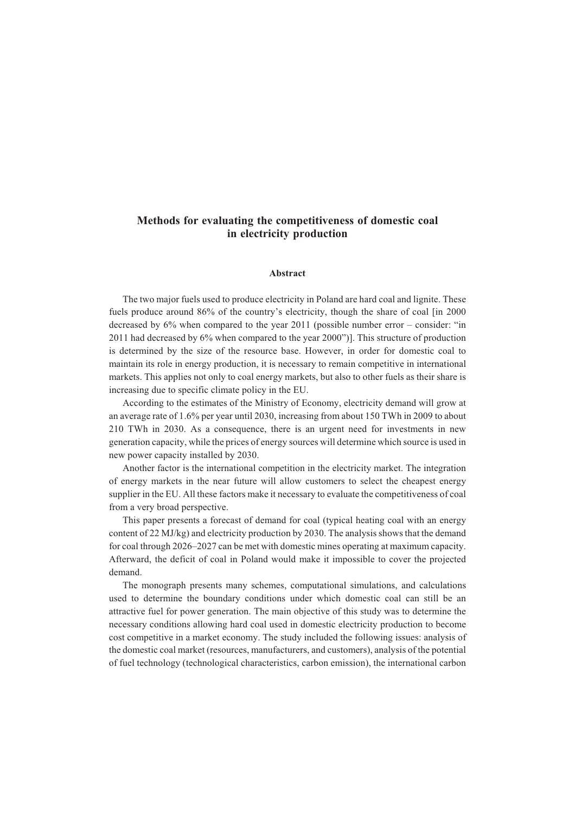## **Methods for evaluating the competitiveness of domestic coal in electricity production**

## **Abstract**

The two major fuels used to produce electricity in Poland are hard coal and lignite. These fuels produce around 86% of the country's electricity, though the share of coal [in 2000 decreased by 6% when compared to the year 2011 (possible number error – consider: "in 2011 had decreased by 6% when compared to the year 2000")]. This structure of production is determined by the size of the resource base. However, in order for domestic coal to maintain its role in energy production, it is necessary to remain competitive in international markets. This applies not only to coal energy markets, but also to other fuels as their share is increasing due to specific climate policy in the EU.

According to the estimates of the Ministry of Economy, electricity demand will grow at an average rate of 1.6% per year until 2030, increasing from about 150 TWh in 2009 to about 210 TWh in 2030. As a consequence, there is an urgent need for investments in new generation capacity, while the prices of energy sources will determine which source is used in new power capacity installed by 2030.

Another factor is the international competition in the electricity market. The integration of energy markets in the near future will allow customers to select the cheapest energy supplier in the EU. All these factors make it necessary to evaluate the competitiveness of coal from a very broad perspective.

This paper presents a forecast of demand for coal (typical heating coal with an energy content of 22 MJ/kg) and electricity production by 2030. The analysis shows that the demand for coal through 2026–2027 can be met with domestic mines operating at maximum capacity. Afterward, the deficit of coal in Poland would make it impossible to cover the projected demand.

The monograph presents many schemes, computational simulations, and calculations used to determine the boundary conditions under which domestic coal can still be an attractive fuel for power generation. The main objective of this study was to determine the necessary conditions allowing hard coal used in domestic electricity production to become cost competitive in a market economy. The study included the following issues: analysis of the domestic coal market (resources, manufacturers, and customers), analysis of the potential of fuel technology (technological characteristics, carbon emission), the international carbon